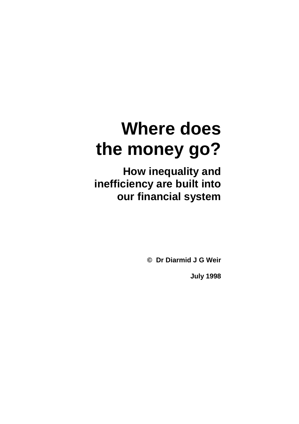**How inequality and inefficiency are built into our financial system** 

**© Dr Diarmid J G Weir** 

**July 1998**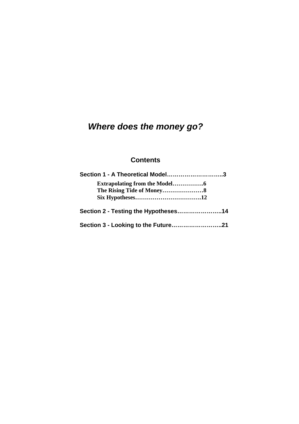# **Contents**

| Section 1 - A Theoretical Model3     |  |
|--------------------------------------|--|
|                                      |  |
|                                      |  |
|                                      |  |
| Section 2 - Testing the Hypotheses14 |  |
| Section 3 - Looking to the Future21  |  |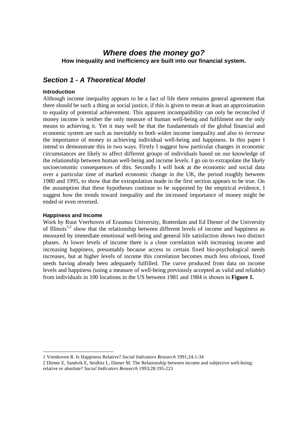**How inequality and inefficiency are built into our financial system.** 

# **Section 1 - A Theoretical Model**

# **Introduction**

Although income inequality appears to be a fact of life there remains general agreement that there should be such a thing as social justice, if this is given to mean at least an approximation to equality of potential achievement. This apparent incompatibility can only be reconciled if money income is neither the only measure of human well-being and fulfilment nor the only means to achieving it. Yet it may well be that the fundamentals of the global financial and economic system are such as inevitably to both *widen* income inequality and also to *increase* the importance of money in achieving individual well-being and happiness. In this paper I intend to demonstrate this in two ways. Firstly I suggest how particular changes in economic circumstances are likely to affect different groups of individuals based on our knowledge of the relationship between human well-being and income levels. I go on to extrapolate the likely socioeconomic consequences of this. Secondly I will look at the economic and social data over a particular time of marked economic change in the UK, the period roughly between 1980 and 1995, to show that the extrapolation made in the first section appears to be true. On the assumption that these hypotheses continue to be supported by the empirical evidence, I suggest how the trends toward inequality and the increased importance of money might be ended or even reversed.

# **Happiness and Income**

l

Work by Ruut Veerhoven of Erasmus University, Rotterdam and Ed Diener of the University of Illinois<sup>1,2</sup> show that the relationship between different levels of income and happiness as measured by immediate emotional well-being and general life satisfaction shows two distinct phases. At lower levels of income there is a close correlation with increasing income and increasing happiness, presumably because access to certain fixed bio-psychological needs increases, but at higher levels of income this correlation becomes much less obvious, fixed needs having already been adequately fulfilled. The curve produced from data on income levels and happiness (using a measure of well-being previously accepted as valid and reliable) from individuals in 100 locations in the US between 1981 and 1984 is shown in **Figure 1.**

<sup>1</sup> Veenhoven R. Is Happiness Relative? *Social Indicators Research* 1991;24:1-34

<sup>2</sup> Diener E, Sandvik E, Seidlitz L, Diener M. The Relationship between income and subjective well-being: relative or absolute? *Social Indicators Research* 1993;28:195-223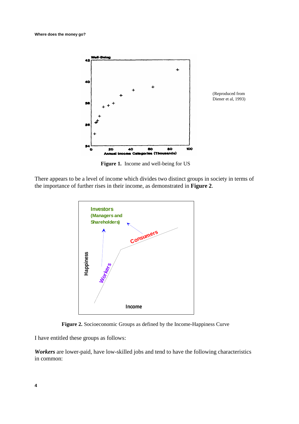

(Reproduced from Diener et al, 1993)

**Figure 1.** Income and well-being for US

There appears to be a level of income which divides two distinct groups in society in terms of the importance of further rises in their income, as demonstrated in **Figure 2**.



**Figure 2.** Socioeconomic Groups as defined by the Income-Happiness Curve

I have entitled these groups as follows:

*Workers* are lower-paid, have low-skilled jobs and tend to have the following characteristics in common: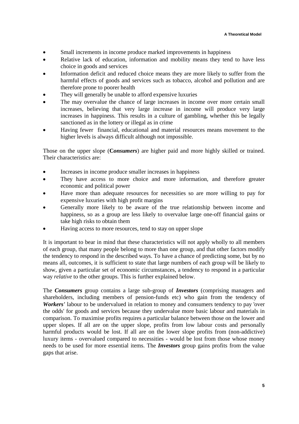- Small increments in income produce marked improvements in happiness
- Relative lack of education, information and mobility means they tend to have less choice in goods and services
- Information deficit and reduced choice means they are more likely to suffer from the harmful effects of goods and services such as tobacco, alcohol and pollution and are therefore prone to poorer health
- They will generally be unable to afford expensive luxuries
- The may overvalue the chance of large increases in income over more certain small increases, believing that very large increase in income will produce very large increases in happiness. This results in a culture of gambling, whether this be legally sanctioned as in the lottery or illegal as in crime
- Having fewer financial, educational and material resources means movement to the higher levels is always difficult although not impossible.

Those on the upper slope (**C***onsumers*) are higher paid and more highly skilled or trained. Their characteristics are:

- Increases in income produce smaller increases in happiness
- They have access to more choice and more information, and therefore greater economic and political power
- Have more than adequate resources for necessities so are more willing to pay for expensive luxuries with high profit margins
- Generally more likely to be aware of the true relationship between income and happiness, so as a group are less likely to overvalue large one-off financial gains or take high risks to obtain them
- Having access to more resources, tend to stay on upper slope

It is important to bear in mind that these characteristics will not apply wholly to all members of each group, that many people belong to more than one group, and that other factors modify the tendency to respond in the described ways. To have a chance of predicting some, but by no means all, outcomes, it is sufficient to state that large numbers of each group will be likely to show, given a particular set of economic circumstances, a tendency to respond in a particular way *relative* to the other groups. This is further explained below.

The *Consumers* group contains a large sub-group of *Investors* (comprising managers and shareholders, including members of pension-funds etc) who gain from the tendency of *Workers'* labour to be undervalued in relation to money and consumers tendency to pay 'over the odds' for goods and services because they undervalue more basic labour and materials in comparison. To maximise profits requires a particular balance between those on the lower and upper slopes. If all are on the upper slope, profits from low labour costs and personally harmful products would be lost. If all are on the lower slope profits from (non-addictive) luxury items - overvalued compared to necessities - would be lost from those whose money needs to be used for more essential items. The *Investors* group gains profits from the value gaps that arise.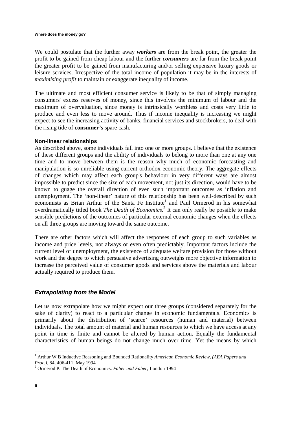We could postulate that the further away *workers* are from the break point, the greater the profit to be gained from cheap labour and the further *consumers* are far from the break point the greater profit to be gained from manufacturing and/or selling expensive luxury goods or leisure services. Irrespective of the total income of population it may be in the interests of *maximising profit* to maintain or exaggerate inequality of income.

The ultimate and most efficient consumer service is likely to be that of simply managing consumers' excess reserves of money, since this involves the minimum of labour and the maximum of overvaluation, since money is intrinsically worthless and costs very little to produce and even less to move around. Thus if income inequality is increasing we might expect to see the increasing activity of banks, financial services and stockbrokers, to deal with the rising tide of **consumer's** spare cash.

# **Non-linear relationships**

As described above, some individuals fall into one or more groups. I believe that the existence of these different groups and the ability of individuals to belong to more than one at any one time and to move between them is the reason why much of economic forecasting and manipulation is so unreliable using current orthodox economic theory. The aggregate effects of changes which may affect each group's behaviour in very different ways are almost impossible to predict since the size of each movement, not just its direction, would have to be known to guage the overall direction of even such important outcomes as inflation and unemployment. The 'non-linear' nature of this relationship has been well-described by such economists as Brian Arthur of the Santa Fe Institute<sup>1</sup> and Paul Ormerod in his somewhat overdramatically titled book *The Death of Economics*. 2 It can only really be possible to make sensible predictions of the outcomes of particular external economic changes when the effects on all three groups are moving toward the same outcome.

There are other factors which will affect the responses of each group to such variables as income and price levels, not always or even often predictably. Important factors include the current level of unemployment, the existence of adequate welfare provision for those without work and the degree to which persuasive advertising outweighs more objective information to increase the perceived value of consumer goods and services above the materials and labour actually required to produce them.

# **Extrapolating from the Model**

Let us now extrapolate how we might expect our three groups (considered separately for the sake of clarity) to react to a particular change in economic fundamentals. Economics is primarily about the distribution of 'scarce' resources (human and material) between individuals. The total amount of material and human resources to which we have access at any point in time is finite and cannot be altered by human action. Equally the fundamental characteristics of human beings do not change much over time. Yet the means by which

 1 Arthur W B Inductive Reasoning and Bounded Rationality *American Economic Review, (AEA Papers and Proc.)*, 84, 406-411, May 1994

<sup>2</sup> Ormerod P. The Death of Economics. *Faber and Faber*; London 1994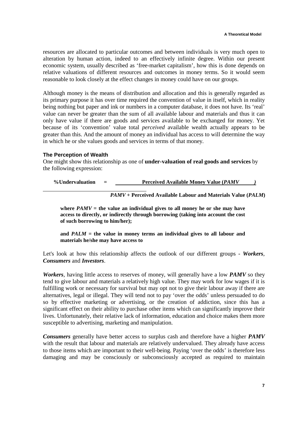resources are allocated to particular outcomes and between individuals is very much open to alteration by human action, indeed to an effectively infinite degree. Within our present economic system, usually described as 'free-market capitalism', how this is done depends on relative valuations of different resources and outcomes in money terms. So it would seem reasonable to look closely at the effect changes in money could have on our groups.

Although money is the means of distribution and allocation and this is generally regarded as its primary purpose it has over time required the convention of value in itself, which in reality being nothing but paper and ink or numbers in a computer database, it does not have. Its 'real' value can never be greater than the sum of all available labour and materials and thus it can only have value if there are goods and services available to be exchanged for money. Yet because of its 'convention' value total *perceived* available wealth actually appears to be greater than this. And the amount of money an individual has access to will determine the way in which he or she values goods and services in terms of that money.

# **The Perception of Wealth**

One might show this relationship as one of **under-valuation of real goods and services** by the following expression:

**%Undervaluation = Perceived Available Money Value (***PAMV )*

 *PAMV* **+ Perceived Available Labour and Materials Value (***PALM***)** 

where  $PAMV =$  the value an individual gives to all money he or she may have **access to directly, or indirectly through borrowing (taking into account the cost of such borrowing to him/her);** 

**and** *PALM* **= the value in money terms an individual gives to all labour and materials he/she may have access to** 

Let's look at how this relationship affects the outlook of our different groups - *Workers*, *Consumers* and *Investors*.

*Workers*, having little access to reserves of money, will generally have a low *PAMV* so they tend to give labour and materials a relatively high value. They may work for low wages if it is fulfilling work or necessary for survival but may opt not to give their labour away if there are alternatives, legal or illegal. They will tend not to pay 'over the odds' unless persuaded to do so by effective marketing or advertising, or the creation of addiction, since this has a significant effect on their ability to purchase other items which can significantly improve their lives. Unfortunately, their relative lack of information, education and choice makes them more susceptible to advertising, marketing and manipulation.

*Consumers* generally have better access to surplus cash and therefore have a higher *PAMV*  with the result that labour and materials are relatively undervalued. They already have access to those items which are important to their well-being. Paying 'over the odds' is therefore less damaging and may be consciously or subconsciously accepted as required to maintain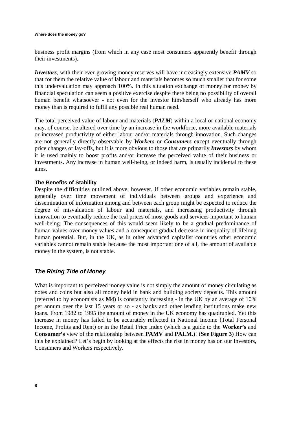business profit margins (from which in any case most consumers apparently benefit through their investments).

*Investors*, with their ever-growing money reserves will have increasingly extensive *PAMV* so that for them the relative value of labour and materials becomes so much smaller that for some this undervaluation may approach 100%. In this situation exchange of money for money by financial speculation can seem a positive exercise despite there being no possibility of overall human benefit whatsoever - not even for the investor him/herself who already has more money than is required to fulfil any possible real human need.

The total perceived value of labour and materials (*PALM*) within a local or national economy may, of course, be altered over time by an increase in the workforce, more available materials or increased productivity of either labour and/or materials through innovation. Such changes are not generally directly observable by *Workers* or *Consumers* except eventually through price changes or lay-offs, but it is more obvious to those that are primarily *Investors* by whom it is used mainly to boost profits and/or increase the perceived value of their business or investments. Any increase in human well-being, or indeed harm, is usually incidental to these aims.

# **The Benefits of Stability**

Despite the difficulties outlined above, however, if other economic variables remain stable, generally over time movement of individuals between groups and experience and dissemination of information among and between each group might be expected to reduce the degree of misvaluation of labour and materials, and increasing productivity through innovation to eventually reduce the real prices of most goods and services important to human well-being. The consequences of this would seem likely to be a gradual predominance of human values over money values and a consequent gradual decrease in inequality of lifelong human potential. But, in the UK, as in other advanced capitalist countries other economic variables cannot remain stable because the most important one of all, the amount of available money in the system, is not stable.

# **The Rising Tide of Money**

What is important to perceived money value is not simply the amount of money circulating as notes and coins but also all money held in bank and building society deposits. This amount (referred to by economists as **M4**) is constantly increasing - in the UK by an average of 10% per annum over the last 15 years or so - as banks and other lending institutions make new loans. From 1982 to 1995 the amount of money in the UK economy has quadrupled. Yet this increase in money has failed to be accurately reflected in National Income (Total Personal Income, Profits and Rent) or in the Retail Price Index (which is a guide to the **Worker's** and **Consumer's** view of the relationship between **PAMV** and **PALM**.)! (**See Figure 3**) How can this be explained? Let's begin by looking at the effects the rise in money has on our Investors, Consumers and Workers respectively.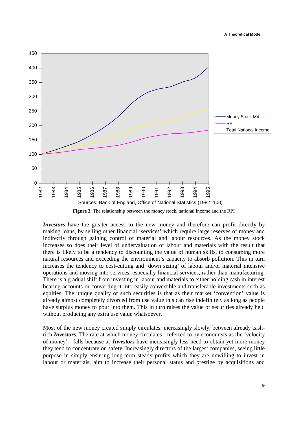

**Figure 3.** The relationship between the money stock, national income and the RPI

*Investors* have the greater access to the new money and therefore can profit directly by making loans, by selling other financial 'services' which require large reserves of money and indirectly through gaining control of material and labour resources. As the money stock increases so does their level of undervaluation of labour and materials with the result that there is likely to be a tendency to discounting the value of human skills, to consuming more natural resources and exceeding the environment's capacity to absorb pollution. This in turn increases the tendency to cost-cutting and 'down sizing' of labour and/or material intensive operations and moving into services, especially financial services, rather than manufacturing. There is a gradual shift from investing in labour and materials to either holding cash in interest bearing accounts or converting it into easily convertible and transferable investments such as equities. The unique quality of such securities is that as their market 'convention' value is already almost completely divorced from use value this can rise indefinitely as long as people have surplus money to pour into them. This in turn raises the value of securities already held without producing any extra use value whatsoever.

Most of the new money created simply circulates, increasingly slowly, between already cashrich *Investors*. The rate at which money circulates - referred to by economists as the 'velocity of money' - falls because as *Investors* have increasingly less need to obtain yet more money they tend to concentrate on safety. Increasingly directors of the largest companies, seeing little purpose in simply ensuring long-term steady profits which they are unwilling to invest in labour or materials, aim to increase their personal status and prestige by acquisitions and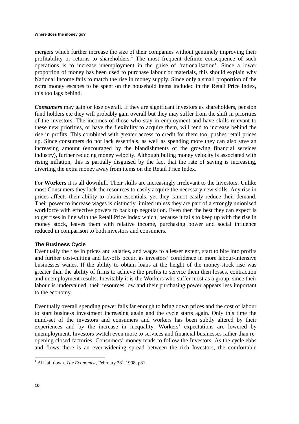mergers which further increase the size of their companies without genuinely improving their profitability or returns to shareholders.<sup>1</sup> The most frequent definite consequence of such operations is to increase unemployment in the guise of 'rationalisation'. Since a lower proportion of money has been used to purchase labour or materials, this should explain why National Income fails to match the rise in money supply. Since only a small proportion of the extra money escapes to be spent on the household items included in the Retail Price Index, this too lags behind.

*Consumers* may gain or lose overall. If they are significant investors as shareholders, pension fund holders etc they will probably gain overall but they may suffer from the shift in priorities of the investors. The incomes of those who stay in employment and have skills relevant to these new priorities, or have the flexibility to acquire them, will tend to increase behind the rise in profits. This combined with greater access to credit for them too, pushes retail prices up. Since consumers do not lack essentials, as well as spending more they can also save an increasing amount (encouraged by the blandishments of the growing financial services industry), further reducing money velocity. Although falling money velocity is associated with rising inflation, this is partially disguised by the fact that the rate of saving is increasing, diverting the extra money away from items on the Retail Price Index.

For **Workers** it is all downhill. Their skills are increasingly irrelevant to the Investors. Unlike most Consumers they lack the resources to easily acquire the necessary new skills. Any rise in prices affects their ability to obtain essentials, yet they cannot easily reduce their demand. Their power to increase wages is distinctly limited unless they are part of a strongly unionised workforce with effective powers to back up negotiation. Even then the best they can expect is to get rises in line with the Retail Price Index which, because it fails to keep up with the rise in money stock, leaves them with relative income, purchasing power and social influence reduced in comparison to both investors and consumers.

# **The Business Cycle**

Eventually the rise in prices and salaries, and wages to a lesser extent, start to bite into profits and further cost-cutting and lay-offs occur, as investors' confidence in more labour-intensive businesses wanes. If the ability to obtain loans at the height of the money-stock rise was greater than the ability of firms to achieve the profits to service them then losses, contraction and unemployment results. Inevitably it is the Workers who suffer most as a group, since their labour is undervalued, their resources low and their purchasing power appears less important to the economy.

Eventually overall spending power falls far enough to bring down prices and the cost of labour to start business investment increasing again and the cycle starts again. Only this time the mind-set of the investors and consumers and workers has been subtly altered by their experiences and by the increase in inequality. Workers' expectations are lowered by unemployment, Investors switch even more to services and financial businesses rather than reopening closed factories. Consumers' money tends to follow the Investors. As the cycle ebbs and flows there is an ever-widening spread between the rich Investors, the comfortable

<sup>&</sup>lt;sup>1</sup> All fall down. *The Economist*, February 28<sup>th</sup> 1998, p81.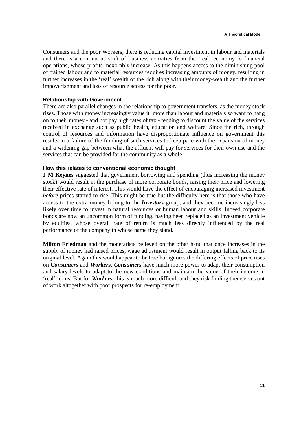Consumers and the poor Workers; there is reducing capital investment in labour and materials and there is a continuous shift of business activities from the 'real' economy to financial operations, whose profits inexorably increase. As this happens access to the diminishing pool of trained labour and to material resources requires increasing amounts of money, resulting in further increases in the 'real' wealth of the rich along with their money-wealth and the further impoverishment and loss of resource access for the poor.

#### **Relationship with Government**

There are also parallel changes in the relationship to government transfers, as the money stock rises. Those with money increasingly value it more than labour and materials so want to hang on to their money - and not pay high rates of tax - tending to discount the value of the services received in exchange such as public health, education and welfare. Since the rich, through control of resources and information have disproportionate influence on government this results in a failure of the funding of such services to keep pace with the expansion of money and a widening gap between what the affluent will pay for services for their own use and the services that can be provided for the community as a whole.

## **How this relates to conventional economic thought**

**J M Keynes** suggested that government borrowing and spending (thus increasing the money stock) would result in the purchase of more corporate bonds, raising their price and lowering their effective rate of interest. This would have the effect of encouraging increased investment *before* prices started to rise. This might be true but the difficulty here is that those who have access to the extra money belong to the *Investors* group, and they become increasingly less likely over time to invest in natural resources or human labour and skills. Indeed corporate bonds are now an uncommon form of funding, having been replaced as an investment vehicle by equities, whose overall rate of return is much less directly influenced by the real performance of the company in whose name they stand.

**Milton Friedman** and the monetarists believed on the other hand that once increases in the supply of money had raised prices, wage adjustment would result in output falling back to its original level. Again this would appear to be true but ignores the differing effects of price rises on *Consumers* and *Workers*. *Consumers* have much more power to adapt their consumption and salary levels to adapt to the new conditions and maintain the value of their income in 'real' terms. But for *Workers*, this is much more difficult and they risk finding themselves out of work altogether with poor prospects for re-employment.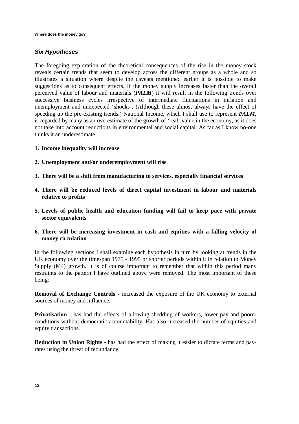# **Six Hypotheses**

The foregoing exploration of the theoretical consequences of the rise in the money stock reveals certain trends that seem to develop across the different groups as a whole and so illustrates a situation where despite the caveats mentioned earlier it is possible to make suggestions as to consequent effects. If the money supply increases faster than the overall perceived value of labour and materials (*PALM*) it will result in the following trends over successive business cycles irrespective of intermediate fluctuations in inflation and unemployment and unexpected 'shocks'. (Although these almost always have the effect of speeding up the pre-existing trends.) National Income, which I shall use to represent *PALM*, is regarded by many as an overestimate of the growth of 'real' value in the economy, as it does not take into account reductions in environmental and social capital. As far as I know no-one thinks it an underestimate!

- **1. Income inequality will increase**
- **2. Unemployment and/or underemployment will rise**
- **3. There will be a shift from manufacturing to services, especially financial services**
- **4. There will be reduced levels of direct capital investment in labour and materials relative to profits**
- **5. Levels of public health and education funding will fail to keep pace with private sector equivalents**
- **6. There will be increasing investment in cash and equities with a falling velocity of money circulation**

In the following sections I shall examine each hypothesis in turn by looking at trends in the UK economy over the timespan 1975 - 1995 or shorter periods within it in relation to Money Supply (M4) growth. It is of course important to remember that within this period many restraints to the pattern I have outlined above were removed. The most important of these being:

**Removal of Exchange Controls -** increased the exposure of the UK economy to external sources of money and influence.

**Privatisation** - has had the effects of allowing shedding of workers, lower pay and poorer conditions without democratic accountability. Has also increased the number of equities and equity transactions.

**Reduction in Union Rights** - has had the effect of making it easier to dictate terms and payrates using the threat of redundancy.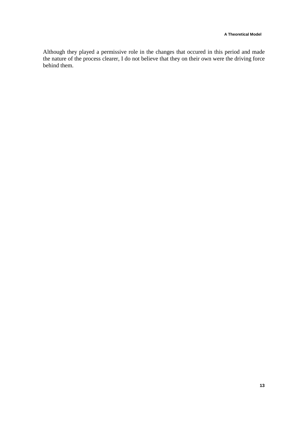Although they played a permissive role in the changes that occured in this period and made the nature of the process clearer, I do not believe that they on their own were the driving force behind them.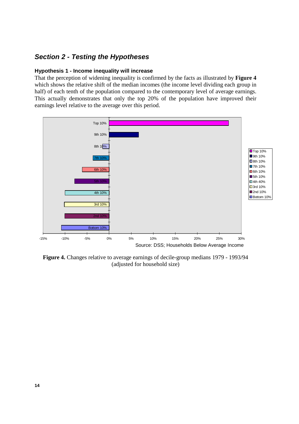# **Section 2 - Testing the Hypotheses**

# **Hypothesis 1 - Income inequality will increase**

That the perception of widening inequality is confirmed by the facts as illustrated by **Figure 4** which shows the relative shift of the median incomes (the income level dividing each group in half) of each tenth of the population compared to the contemporary level of average earnings. This actually demonstrates that only the top 20% of the population have improved their earnings level relative to the average over this period.



**Figure 4.** Changes relative to average earnings of decile-group medians 1979 - 1993/94 (adjusted for household size)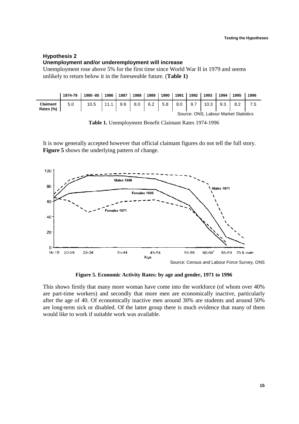# **Hypothesis 2 Unemployment and/or underemployment will increase**

Unemployment rose above 5% for the first time since World War II in 1979 and seems unlikely to return below it in the foreseeable future. (**Table 1)**

|                              | 1974-79                               | 1980 - 85 | 1986 | 1987 | 1988 | 1989 | 1990 | 1991 | 1992 | 1993 | 1994 | 1995 | 1996 |
|------------------------------|---------------------------------------|-----------|------|------|------|------|------|------|------|------|------|------|------|
| <b>Claimant</b><br>Rates (%) | 5.0                                   | 10.5      | 11.  | 9.9  | 8.0  | 6.2  | 5.8  | 8.0  | 9.7  | 10.3 | 9.3  | 8.2  |      |
|                              | Source: ONS, Labour Market Statistics |           |      |      |      |      |      |      |      |      |      |      |      |

**Table 1.** Unemployment Benefit Claimant Rates 1974-1996

It is now generally accepted however that official claimant figures do not tell the full story. **Figure 5** shows the underlying pattern of change.



**Figure 5. Economic Activity Rates: by age and gender, 1971 to 1996** 

This shows firstly that many more woman have come into the workforce (of whom over 40% are part-time workers) and secondly that more men are economically inactive, particularly after the age of 40. Of economically inactive men around 30% are students and around 50% are long-term sick or disabled. Of the latter group there is much evidence that many of them would like to work if suitable work was available.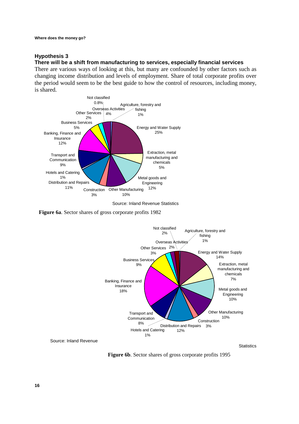# **Hypothesis 3**

## **There will be a shift from manufacturing to services, especially financial services**

There are various ways of looking at this, but many are confounded by other factors such as changing income distribution and levels of employment. Share of total corporate profits over the period would seem to be the best guide to how the control of resources, including money, is shared.



 **Figure 6a**. Sector shares of gross corporate profits 1982



 **Figure 6b**. Sector shares of gross corporate profits 1995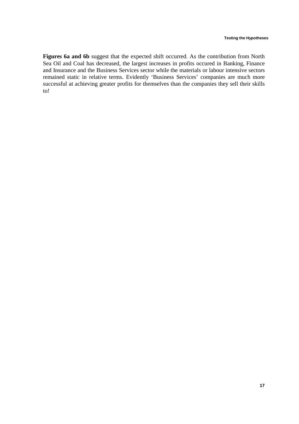Figures 6a and 6b suggest that the expected shift occurred. As the contribution from North Sea Oil and Coal has decreased, the largest increases in profits occured in Banking, Finance and Insurance and the Business Services sector while the materials or labour intensive sectors remained static in relative terms. Evidently 'Business Services' companies are much more successful at achieving greater profits for themselves than the companies they sell their skills to!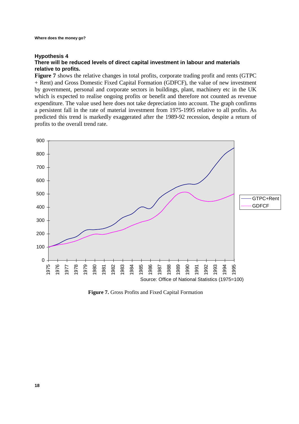# **Hypothesis 4 There will be reduced levels of direct capital investment in labour and materials relative to profits.**

**Figure 7** shows the relative changes in total profits, corporate trading profit and rents (GTPC + Rent) and Gross Domestic Fixed Capital Formation (GDFCF), the value of new investment by government, personal and corporate sectors in buildings, plant, machinery etc in the UK which is expected to realise ongoing profits or benefit and therefore not counted as revenue expenditure. The value used here does not take depreciation into account. The graph confirms a persistent fall in the rate of material investment from 1975-1995 relative to all profits. As predicted this trend is markedly exaggerated after the 1989-92 recession, despite a return of profits to the overall trend rate.



**Figure 7.** Gross Profits and Fixed Capital Formation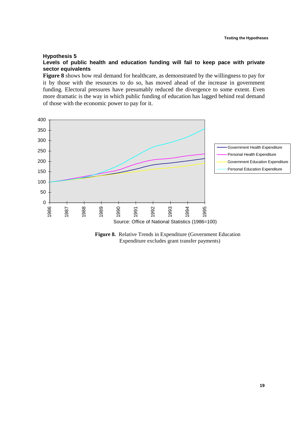#### **Hypothesis 5**

**Levels of public health and education funding will fail to keep pace with private sector equivalents** 

**Figure 8** shows how real demand for healthcare, as demonstrated by the willingness to pay for it by those with the resources to do so, has moved ahead of the increase in government funding. Electoral pressures have presumably reduced the divergence to some extent. Even more dramatic is the way in which public funding of education has lagged behind real demand of those with the economic power to pay for it.



**Figure 8.** Relative Trends in Expenditure (Government Education Expenditure excludes grant transfer payments)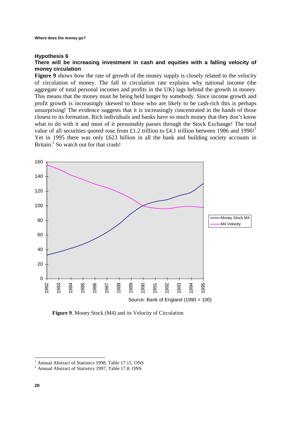#### **Hypothesis 6**

# **There will be increasing investment in cash and equities with a falling velocity of money circulation**

**Figure 9** shows how the rate of growth of the money supply is closely related to the velocity of circulation of money. The fall in circulation rate explains why national income (the aggregate of total personal incomes and profits in the UK) lags behind the growth in money. This means that the money must be being held longer by somebody. Since income growth and profit growth is increasingly skewed to those who are likely to be cash-rich this is perhaps unsurprising! The evidence suggests that it is increasingly concentrated in the hands of those closest to its formation. Rich individuals and banks have so much money that they don't know what to do with it and most of it presumably passes through the Stock Exchange! The total value of all securities quoted rose from £1.2 trillion to £4.1 trillion between 1986 and 1996! Yet in 1995 there was only £623 billion in all the bank and building society accounts in Britain.<sup>2</sup> So watch out for that crash!



**Figure 9**. Money Stock (M4) and its Velocity of Circulation

<sup>&</sup>lt;sup>1</sup> Annual Abstract of Statistics 1998, Table 17.15. ONS

<sup>2</sup> Annual Abstract of Statistics 1997, Table 17.8. ONS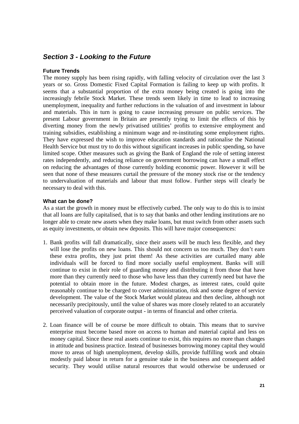# **Section 3 - Looking to the Future**

# **Future Trends**

The money supply has been rising rapidly, with falling velocity of circulation over the last 3 years or so. Gross Domestic Fixed Capital Formation is failing to keep up with profits. It seems that a substantial proportion of the extra money being created is going into the increasingly febrile Stock Market. These trends seem likely in time to lead to increasing unemployment, inequality and further reductions in the valuation of and investment in labour and materials. This in turn is going to cause increasing pressure on public services. The present Labour government in Britain are presently trying to limit the effects of this by diverting money from the newly privatised utilities' profits to extensive employment and training subsidies, establishing a minimum wage and re-instituting some employment rights. They have expressed the wish to improve education standards and rationalise the National Health Service but must try to do this without significant increases in public spending, so have limited scope. Other measures such as giving the Bank of England the role of setting interest rates independently, and reducing reliance on government borrowing can have a small effect on reducing the advantages of those currently holding economic power. However it will be seen that none of these measures curtail the pressure of the money stock rise or the tendency to undervaluation of materials and labour that must follow. Further steps will clearly be necessary to deal with this.

# **What can be done?**

As a start the growth in money must be effectively curbed. The only way to do this is to insist that all loans are fully capitalised, that is to say that banks and other lending institutions are no longer able to create new assets when they make loans, but must switch from other assets such as equity investments, or obtain new deposits. This will have major consequences:

- 1. Bank profits will fall dramatically, since their assets will be much less flexible, and they will lose the profits on new loans. This should not concern us too much. They don't earn these extra profits, they just print them! As these activities are curtailed many able individuals will be forced to find more socially useful employment. Banks will still continue to exist in their role of guarding money and distributing it from those that have more than they currently need to those who have less than they currently need but have the potential to obtain more in the future. Modest charges, as interest rates, could quite reasonably continue to be charged to cover administration, risk and some degree of service development. The value of the Stock Market would plateau and then decline, although not necessarily precipitously, until the value of shares was more closely related to an accurately perceived valuation of corporate output - in terms of financial and other criteria.
- 2. Loan finance will be of course be more difficult to obtain. This means that to survive enterprise must become based more on access to human and material capital and less on money capital. Since these real assets continue to exist, this requires no more than changes in attitude and business practice. Instead of businesses borrowing money capital they would move to areas of high unemployment, develop skills, provide fulfilling work and obtain modestly paid labour in return for a genuine stake in the business and consequent added security. They would utilise natural resources that would otherwise be underused or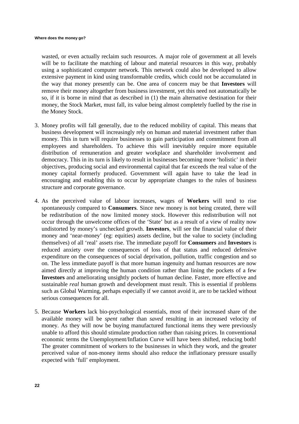wasted, or even actually reclaim such resources. A major role of government at all levels will be to facilitate the matching of labour and material resources in this way, probably using a sophisticated computer network. This network could also be developed to allow extensive payment in kind using transformable credits, which could not be accumulated in the way that money presently can be. One area of concern may be that **Investors** will remove their money altogether from business investment, yet this need not automatically be so, if it is borne in mind that as described in (1) the main alternative destination for their money, the Stock Market, must fall, its value being almost completely fuelled by the rise in the Money Stock.

- 3. Money profits will fall generally, due to the reduced mobility of capital. This means that business development will increasingly rely on human and material investment rather than money. This in turn will require businesses to gain participation and commitment from all employees and shareholders. To achieve this will inevitably require more equitable distribution of remuneration and greater workplace and shareholder involvement and democracy. This in its turn is likely to result in businesses becoming more 'holistic' in their objectives, producing social and environmental capital that far exceeds the real value of the money capital formerly produced. Government will again have to take the lead in encouraging and enabling this to occur by appropriate changes to the rules of business structure and corporate governance.
- 4. As the perceived value of labour increases, wages of **Workers** will tend to rise spontaneously compared to **Consumers**. Since new money is not being created, there will be redistribution of the now limited money stock. However this redistribution will not occur through the unwelcome offices of the 'State' but as a result of a view of reality now undistorted by money's unchecked growth. **Investors**, will see the financial value of their money and 'near-money' (eg: equities) assets decline, but the value to society (including themselves) of all 'real' assets rise. The immediate payoff for **Consumers** and **Investors** is reduced anxiety over the consequences of loss of that status and reduced defensive expenditure on the consequences of social deprivation, pollution, traffic congestion and so on. The less immediate payoff is that more human ingenuity and human resources are now aimed directly at improving the human condition rather than lining the pockets of a few **Investors** and ameliorating unsightly pockets of human decline. Faster, more effective and sustainable *real* human growth and development must result. This is essential if problems such as Global Warming, perhaps especially if we cannot avoid it, are to be tackled without serious consequences for all.
- 5. Because **Workers** lack bio-psychological essentials, most of their increased share of the available money will be *spent* rather than *saved* resulting in an increased velocity of money. As they will now be buying manufactured functional items they were previously unable to afford this should stimulate production rather than raising prices. In conventional economic terms the Unemployment/Inflation Curve will have been shifted, reducing both! The greater commitment of workers to the businesses in which they work, and the greater perceived value of non-money items should also reduce the inflationary pressure usually expected with 'full' employment.